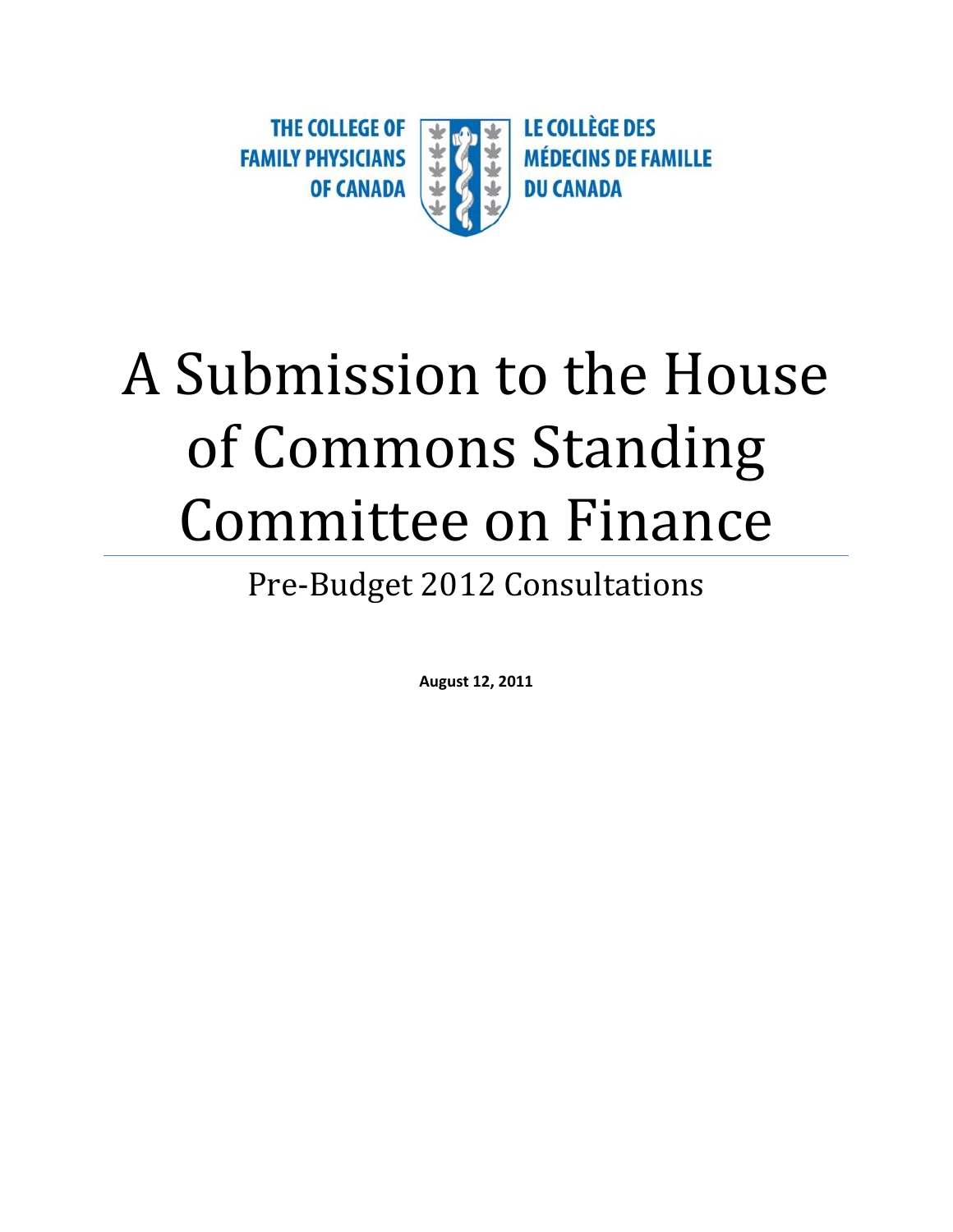

# A Submission to the House of Commons Standing Committee on Finance

## Pre-Budget 2012 Consultations

**August 12, 2011**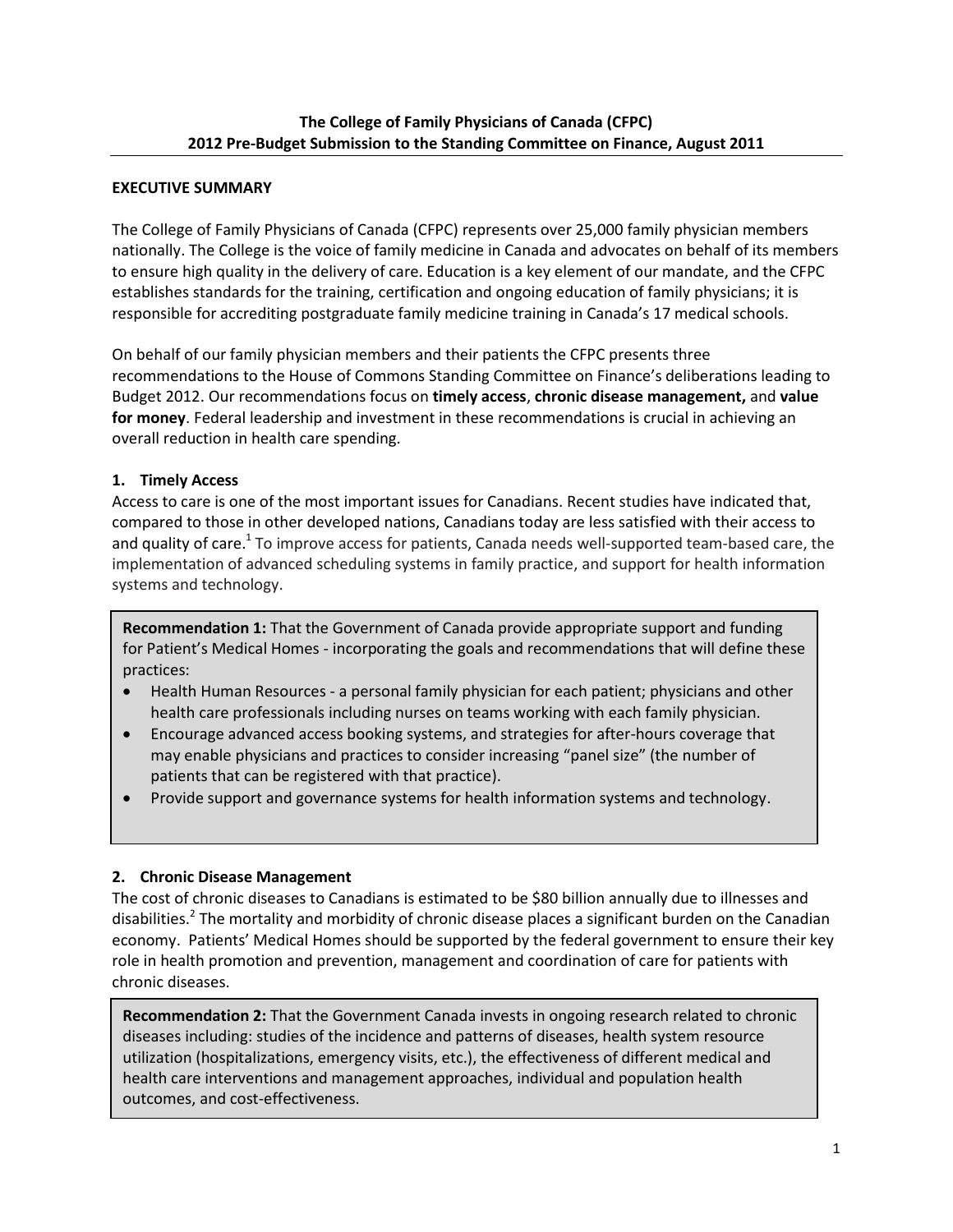#### **EXECUTIVE SUMMARY**

The College of Family Physicians of Canada (CFPC) represents over 25,000 family physician members nationally. The College is the voice of family medicine in Canada and advocates on behalf of its members to ensure high quality in the delivery of care. Education is a key element of our mandate, and the CFPC establishes standards for the training, certification and ongoing education of family physicians; it is responsible for accrediting postgraduate family medicine training in Canada's 17 medical schools.

On behalf of our family physician members and their patients the CFPC presents three recommendations to the House of Commons Standing Committee on Finance's deliberations leading to Budget 2012. Our recommendations focus on **timely access**, **chronic disease management,** and **value for money**. Federal leadership and investment in these recommendations is crucial in achieving an overall reduction in health care spending.

#### **1. Timely Access**

Access to care is one of the most important issues for Canadians. Recent studies have indicated that, compared to those in other developed nations, Canadians today are less satisfied with their access to and quality of care.<sup>1</sup> To improve access for patients, Canada needs well-supported team-based care, the implementation of advanced scheduling systems in family practice, and support for health information systems and technology.

**Recommendation 1:** That the Government of Canada provide appropriate support and funding for Patient's Medical Homes - incorporating the goals and recommendations that will define these practices:

- Health Human Resources a personal family physician for each patient; physicians and other health care professionals including nurses on teams working with each family physician.
- Encourage advanced access booking systems, and strategies for after-hours coverage that may enable physicians and practices to consider increasing "panel size" (the number of patients that can be registered with that practice).
- Provide support and governance systems for health information systems and technology.

### **2. Chronic Disease Management**

The cost of chronic diseases to Canadians is estimated to be \$80 billion annually due to illnesses and disabilities.<sup>2</sup> The mortality and morbidity of chronic disease places a significant burden on the Canadian economy. Patients' Medical Homes should be supported by the federal government to ensure their key role in health promotion and prevention, management and coordination of care for patients with chronic diseases.

**3. Value for Money**  outcomes, and cost-effectiveness. **Recommendation 2:** That the Government Canada invests in ongoing research related to chronic diseases including: studies of the incidence and patterns of diseases, health system resource utilization (hospitalizations, emergency visits, etc.), the effectiveness of different medical and health care interventions and management approaches, individual and population health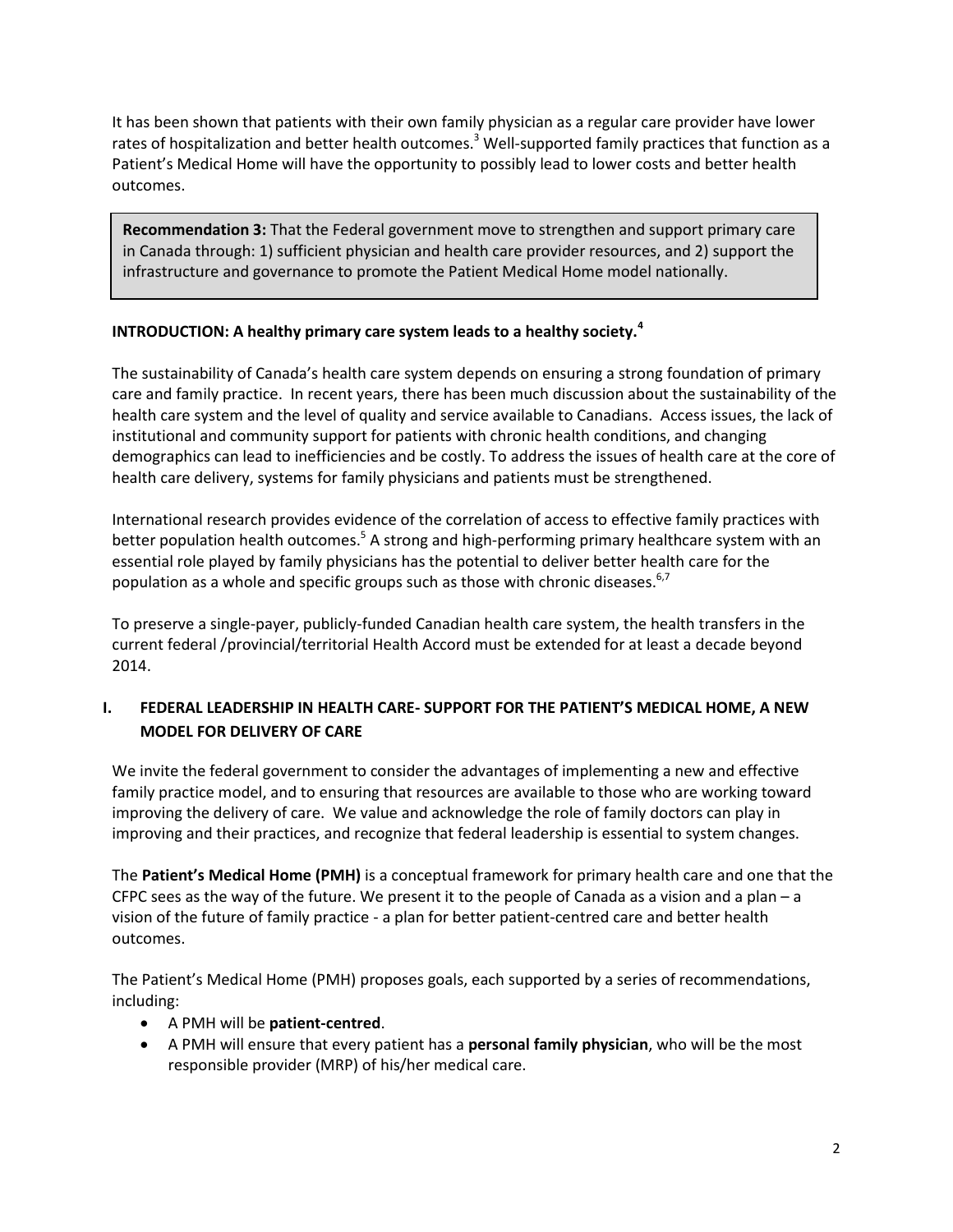It has been shown that patients with their own family physician as a regular care provider have lower rates of hospitalization and better health outcomes.<sup>3</sup> Well-supported family practices that function as a Patient's Medical Home will have the opportunity to possibly lead to lower costs and better health outcomes.

**Recommendation 3:** That the Federal government move to strengthen and support primary care in Canada through: 1) sufficient physician and health care provider resources, and 2) support the infrastructure and governance to promote the Patient Medical Home model nationally.

#### **INTRODUCTION: A healthy primary care system leads to a healthy society.<sup>4</sup>**

The sustainability of Canada's health care system depends on ensuring a strong foundation of primary care and family practice. In recent years, there has been much discussion about the sustainability of the health care system and the level of quality and service available to Canadians. Access issues, the lack of institutional and community support for patients with chronic health conditions, and changing demographics can lead to inefficiencies and be costly. To address the issues of health care at the core of health care delivery, systems for family physicians and patients must be strengthened.

International research provides evidence of the correlation of access to effective family practices with better population health outcomes.<sup>5</sup> A strong and high-performing primary healthcare system with an essential role played by family physicians has the potential to deliver better health care for the population as a whole and specific groups such as those with chronic diseases. $6,7$ 

To preserve a single-payer, publicly-funded Canadian health care system, the health transfers in the current federal /provincial/territorial Health Accord must be extended for at least a decade beyond 2014.

### **I. FEDERAL LEADERSHIP IN HEALTH CARE- SUPPORT FOR THE PATIENT'S MEDICAL HOME, A NEW MODEL FOR DELIVERY OF CARE**

We invite the federal government to consider the advantages of implementing a new and effective family practice model, and to ensuring that resources are available to those who are working toward improving the delivery of care. We value and acknowledge the role of family doctors can play in improving and their practices, and recognize that federal leadership is essential to system changes.

The **Patient's Medical Home (PMH)** is a conceptual framework for primary health care and one that the CFPC sees as the way of the future. We present it to the people of Canada as a vision and a plan – a vision of the future of family practice - a plan for better patient-centred care and better health outcomes.

The Patient's Medical Home (PMH) proposes goals, each supported by a series of recommendations, including:

- A PMH will be **patient-centred**.
- A PMH will ensure that every patient has a **personal family physician**, who will be the most responsible provider (MRP) of his/her medical care.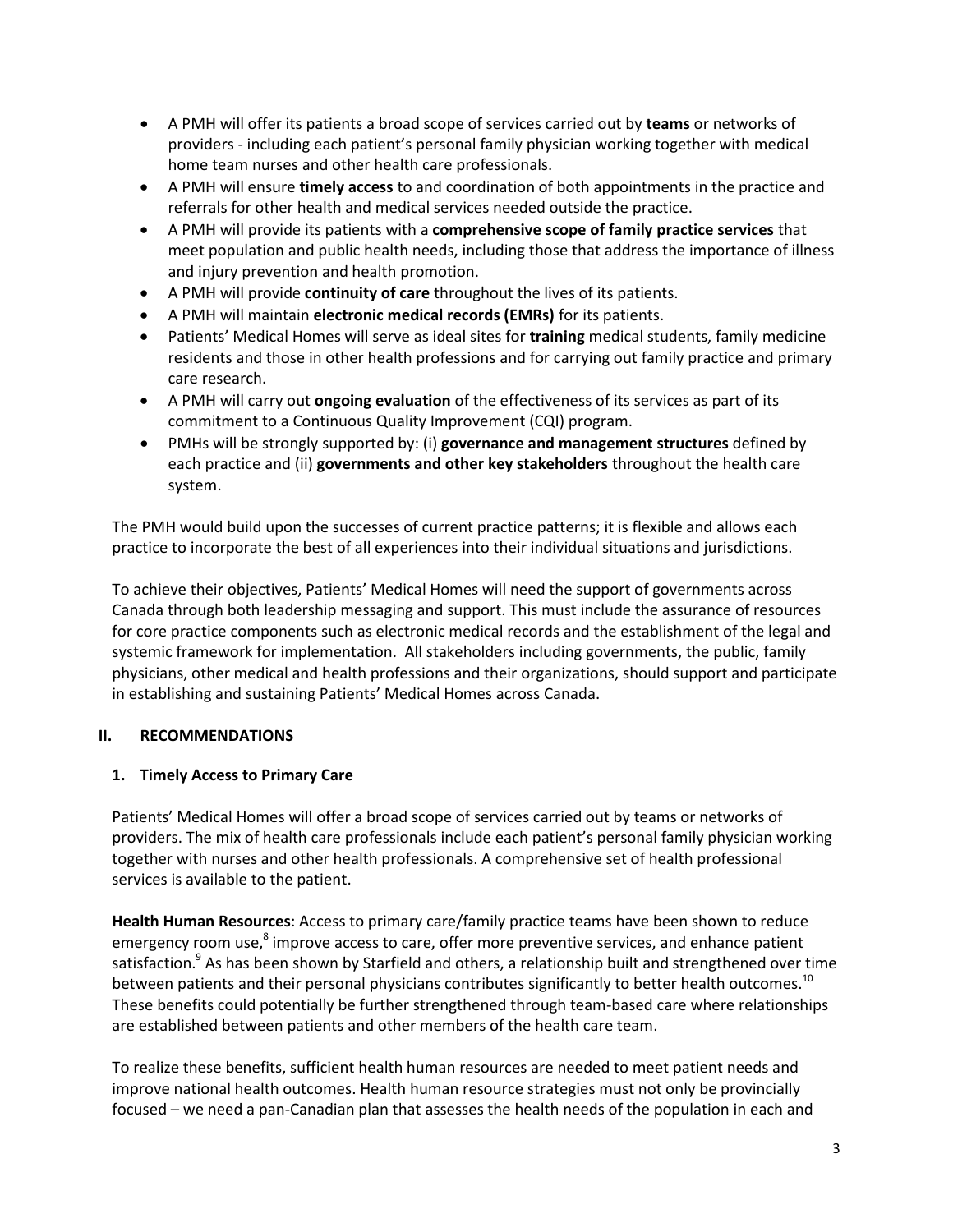- A PMH will offer its patients a broad scope of services carried out by **teams** or networks of providers - including each patient's personal family physician working together with medical home team nurses and other health care professionals.
- A PMH will ensure **timely access** to and coordination of both appointments in the practice and referrals for other health and medical services needed outside the practice.
- A PMH will provide its patients with a **comprehensive scope of family practice services** that meet population and public health needs, including those that address the importance of illness and injury prevention and health promotion.
- A PMH will provide **continuity of care** throughout the lives of its patients.
- A PMH will maintain **electronic medical records (EMRs)** for its patients.
- Patients' Medical Homes will serve as ideal sites for **training** medical students, family medicine residents and those in other health professions and for carrying out family practice and primary care research.
- A PMH will carry out **ongoing evaluation** of the effectiveness of its services as part of its commitment to a Continuous Quality Improvement (CQI) program.
- PMHs will be strongly supported by: (i) **governance and management structures** defined by each practice and (ii) **governments and other key stakeholders** throughout the health care system.

The PMH would build upon the successes of current practice patterns; it is flexible and allows each practice to incorporate the best of all experiences into their individual situations and jurisdictions.

To achieve their objectives, Patients' Medical Homes will need the support of governments across Canada through both leadership messaging and support. This must include the assurance of resources for core practice components such as electronic medical records and the establishment of the legal and systemic framework for implementation. All stakeholders including governments, the public, family physicians, other medical and health professions and their organizations, should support and participate in establishing and sustaining Patients' Medical Homes across Canada.

#### **II. RECOMMENDATIONS**

#### **1. Timely Access to Primary Care**

Patients' Medical Homes will offer a broad scope of services carried out by teams or networks of providers. The mix of health care professionals include each patient's personal family physician working together with nurses and other health professionals. A comprehensive set of health professional services is available to the patient.

**Health Human Resources**: Access to primary care/family practice teams have been shown to reduce emergency room use,<sup>8</sup> improve access to care, offer more preventive services, and enhance patient satisfaction.<sup>9</sup> As has been shown by Starfield and others, a relationship built and strengthened over time between patients and their personal physicians contributes significantly to better health outcomes.<sup>10</sup> These benefits could potentially be further strengthened through team-based care where relationships are established between patients and other members of the health care team.

To realize these benefits, sufficient health human resources are needed to meet patient needs and improve national health outcomes. Health human resource strategies must not only be provincially focused – we need a pan-Canadian plan that assesses the health needs of the population in each and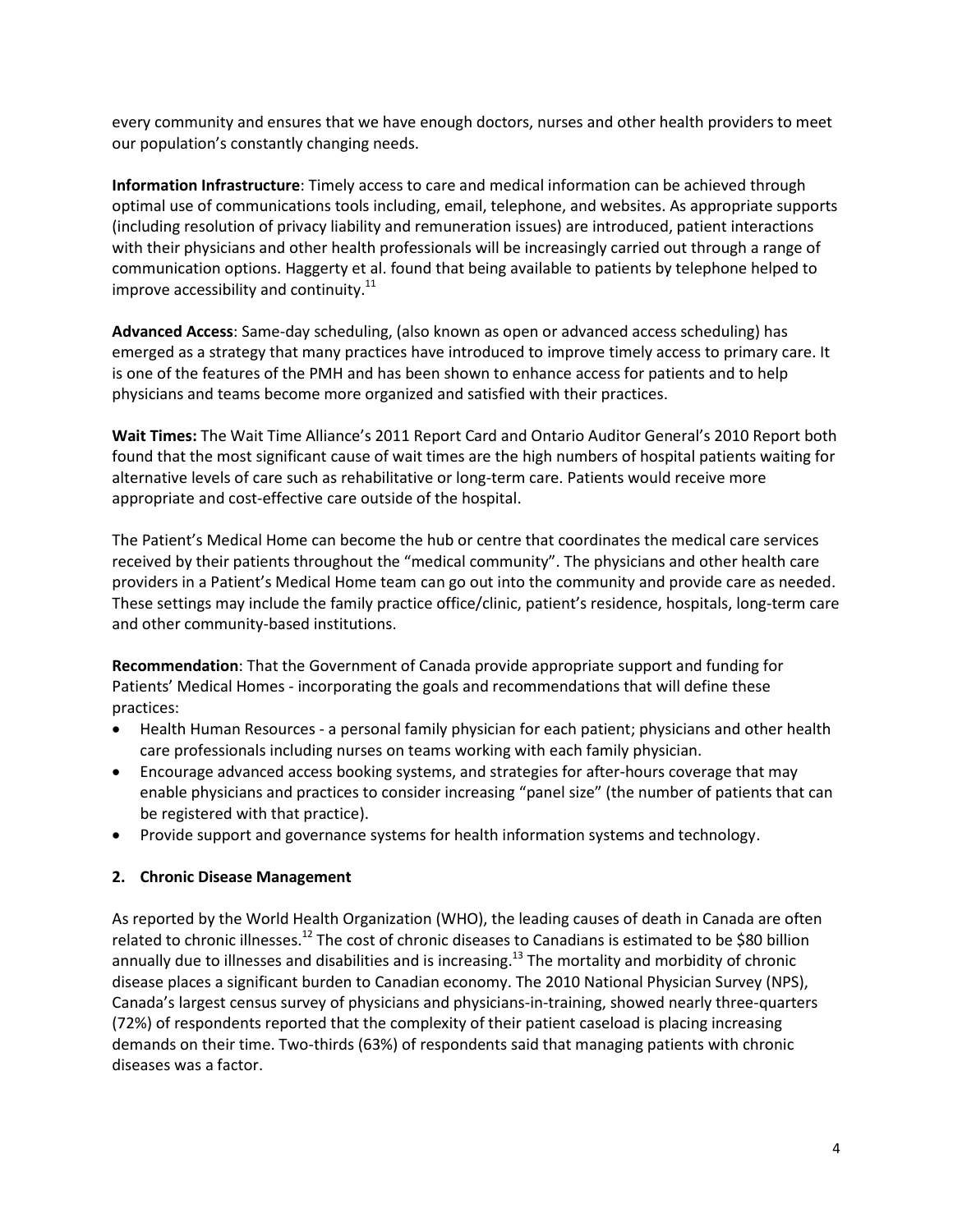every community and ensures that we have enough doctors, nurses and other health providers to meet our population's constantly changing needs.

**Information Infrastructure**: Timely access to care and medical information can be achieved through optimal use of communications tools including, email, telephone, and websites. As appropriate supports (including resolution of privacy liability and remuneration issues) are introduced, patient interactions with their physicians and other health professionals will be increasingly carried out through a range of communication options. Haggerty et al. found that being available to patients by telephone helped to improve accessibility and continuity. $^{11}$ 

**Advanced Access**: Same-day scheduling, (also known as open or advanced access scheduling) has emerged as a strategy that many practices have introduced to improve timely access to primary care. It is one of the features of the PMH and has been shown to enhance access for patients and to help physicians and teams become more organized and satisfied with their practices.

**Wait Times:** The Wait Time Alliance's 2011 Report Card and Ontario Auditor General's 2010 Report both found that the most significant cause of wait times are the high numbers of hospital patients waiting for alternative levels of care such as rehabilitative or long-term care. Patients would receive more appropriate and cost-effective care outside of the hospital.

The Patient's Medical Home can become the hub or centre that coordinates the medical care services received by their patients throughout the "medical community". The physicians and other health care providers in a Patient's Medical Home team can go out into the community and provide care as needed. These settings may include the family practice office/clinic, patient's residence, hospitals, long-term care and other community-based institutions.

**Recommendation**: That the Government of Canada provide appropriate support and funding for Patients' Medical Homes - incorporating the goals and recommendations that will define these practices:

- Health Human Resources a personal family physician for each patient; physicians and other health care professionals including nurses on teams working with each family physician.
- Encourage advanced access booking systems, and strategies for after-hours coverage that may enable physicians and practices to consider increasing "panel size" (the number of patients that can be registered with that practice).
- Provide support and governance systems for health information systems and technology.

#### **2. Chronic Disease Management**

As reported by the World Health Organization (WHO), the leading causes of death in Canada are often related to chronic illnesses.<sup>12</sup> The cost of chronic diseases to Canadians is estimated to be \$80 billion annually due to illnesses and disabilities and is increasing.<sup>13</sup> The mortality and morbidity of chronic disease places a significant burden to Canadian economy. The 2010 National Physician Survey (NPS), Canada's largest census survey of physicians and physicians-in-training, showed nearly three-quarters (72%) of respondents reported that the complexity of their patient caseload is placing increasing demands on their time. Two-thirds (63%) of respondents said that managing patients with chronic diseases was a factor.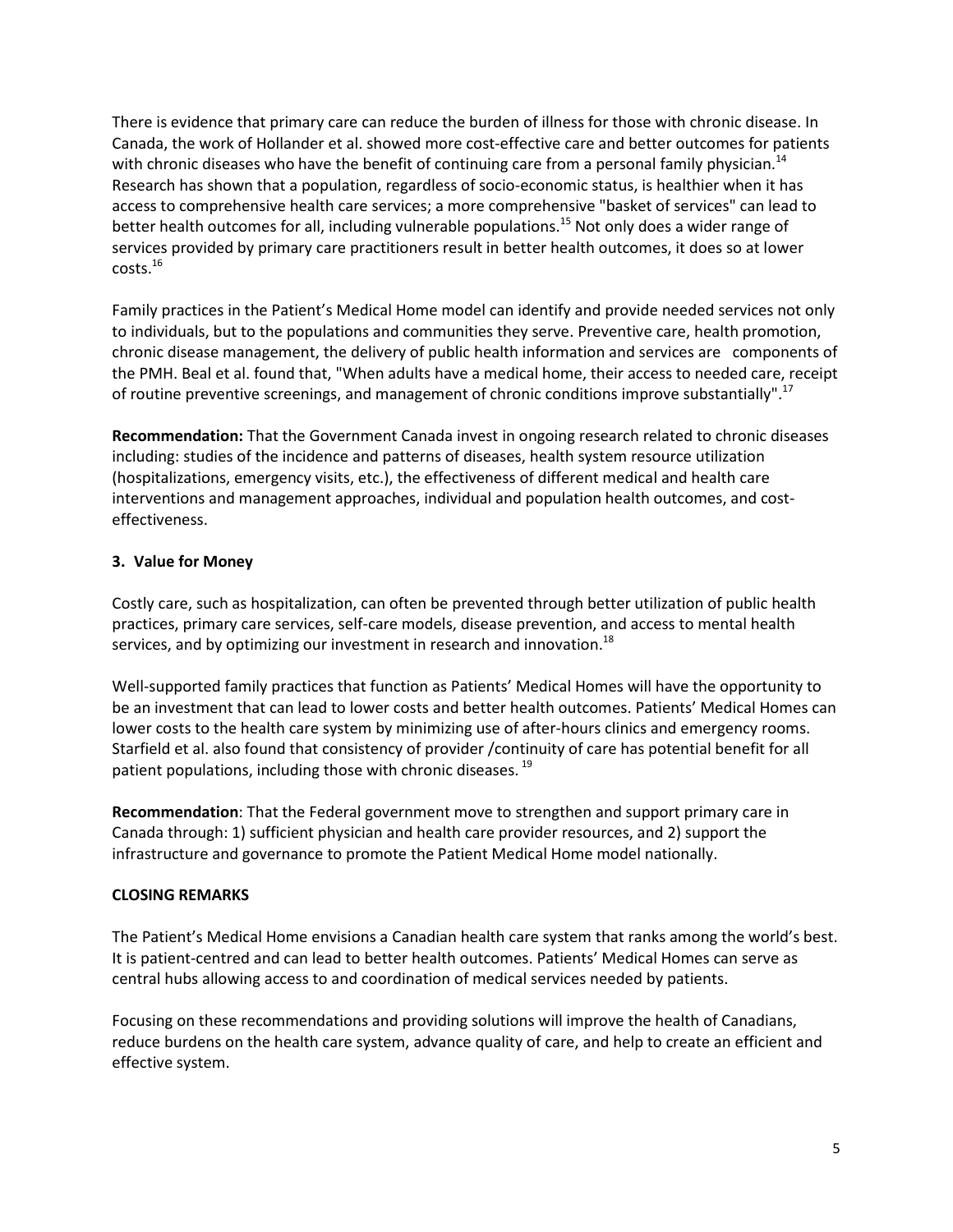There is evidence that primary care can reduce the burden of illness for those with chronic disease. In Canada, the work of Hollander et al. showed more cost-effective care and better outcomes for patients with chronic diseases who have the benefit of continuing care from a personal family physician.<sup>14</sup> Research has shown that a population, regardless of socio-economic status, is healthier when it has access to comprehensive health care services; a more comprehensive "basket of services" can lead to better health outcomes for all, including vulnerable populations.<sup>15</sup> Not only does a wider range of services provided by primary care practitioners result in better health outcomes, it does so at lower costs.<sup>16</sup>

Family practices in the Patient's Medical Home model can identify and provide needed services not only to individuals, but to the populations and communities they serve. Preventive care, health promotion, chronic disease management, the delivery of public health information and services are components of the PMH. Beal et al. found that, "When adults have a medical home, their access to needed care, receipt of routine preventive screenings, and management of chronic conditions improve substantially".<sup>17</sup>

**Recommendation:** That the Government Canada invest in ongoing research related to chronic diseases including: studies of the incidence and patterns of diseases, health system resource utilization (hospitalizations, emergency visits, etc.), the effectiveness of different medical and health care interventions and management approaches, individual and population health outcomes, and costeffectiveness.

#### **3. Value for Money**

Costly care, such as hospitalization, can often be prevented through better utilization of public health practices, primary care services, self-care models, disease prevention, and access to mental health services, and by optimizing our investment in research and innovation.<sup>18</sup>

Well-supported family practices that function as Patients' Medical Homes will have the opportunity to be an investment that can lead to lower costs and better health outcomes. Patients' Medical Homes can lower costs to the health care system by minimizing use of after-hours clinics and emergency rooms. Starfield et al. also found that consistency of provider /continuity of care has potential benefit for all patient populations, including those with chronic diseases.<sup>19</sup>

**Recommendation**: That the Federal government move to strengthen and support primary care in Canada through: 1) sufficient physician and health care provider resources, and 2) support the infrastructure and governance to promote the Patient Medical Home model nationally.

#### **CLOSING REMARKS**

The Patient's Medical Home envisions a Canadian health care system that ranks among the world's best. It is patient-centred and can lead to better health outcomes. Patients' Medical Homes can serve as central hubs allowing access to and coordination of medical services needed by patients.

Focusing on these recommendations and providing solutions will improve the health of Canadians, reduce burdens on the health care system, advance quality of care, and help to create an efficient and effective system.